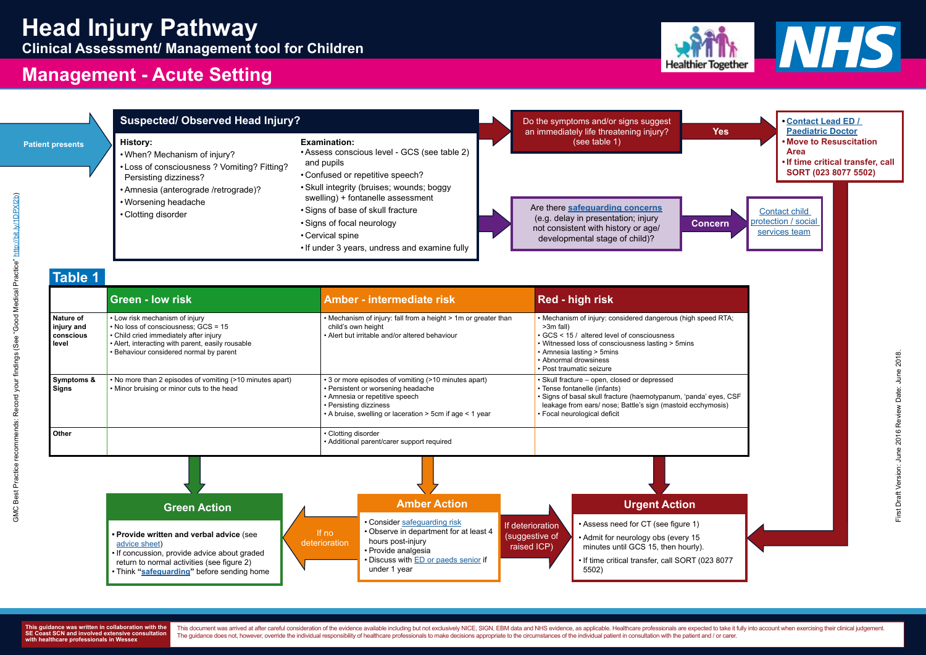| Table 1                                       |                                                                                                                                                                                                                  |                                                                                                                                                                                                                    |                                                                                                                                                                                                                                                    |  |  |
|-----------------------------------------------|------------------------------------------------------------------------------------------------------------------------------------------------------------------------------------------------------------------|--------------------------------------------------------------------------------------------------------------------------------------------------------------------------------------------------------------------|----------------------------------------------------------------------------------------------------------------------------------------------------------------------------------------------------------------------------------------------------|--|--|
|                                               | <b>Green - low risk</b>                                                                                                                                                                                          | <b>Amber - intermediate risk</b>                                                                                                                                                                                   | Red - high risk                                                                                                                                                                                                                                    |  |  |
| Nature of<br>injury and<br>conscious<br>level | • Low risk mechanism of injury<br>• No loss of consciousness; GCS = 15<br>• Child cried immediately after injury<br>• Alert, interacting with parent, easily rousable<br>• Behaviour considered normal by parent | • Mechanism of injury: fall from a height > 1m or greater than<br>child's own height<br>• Alert but irritable and/or altered behaviour                                                                             | • Mechanism of injury: considered dangerous (high<br>>3m fall)<br>GCS < 15 / altered level of consciousness<br>• Witnessed loss of consciousness lasting > 5mins<br>• Amnesia lasting > 5mins<br>• Abnormal drowsiness<br>• Post traumatic seizure |  |  |
| Symptoms &<br>Signs                           | . No more than 2 episodes of vomiting (>10 minutes apart)<br>• Minor bruising or minor cuts to the head                                                                                                          | • 3 or more episodes of vomiting (>10 minutes apart)<br>• Persistent or worsening headache<br>• Amnesia or repetitive speech<br>• Persisting dizziness<br>• A bruise, swelling or laceration > 5cm if age < 1 year | • Skull fracture - open, closed or depressed<br>• Tense fontanelle (infants)<br>· Signs of basal skull fracture (haemotypanum, 'par<br>leakage from ears/ nose; Battle's sign (mastoid ed<br>• Focal neurological deficit                          |  |  |
| <b>Other</b>                                  |                                                                                                                                                                                                                  | • Clotting disorder<br>• Additional parent/carer support required                                                                                                                                                  |                                                                                                                                                                                                                                                    |  |  |



# GMC Best Practice recommends: Record your findings (See "Good Medical Practice"

# **Clinical Assessment/ Management tool for Children**

# **Management - Acute Setting**

| Ħ<br>а<br>l<br>≏ |
|------------------|



This document was arrived at after careful consideration of the evidence available including but not exclusively NICE, SIGN, EBM data and NHS evidence, as applicable. Healthcare professionals are expected to take it fully The guidance does not, however, override the individual responsibility of healthcare professionals to make decisions appropriate to the circumstances of the individual patient in consultation with the patient and / or care

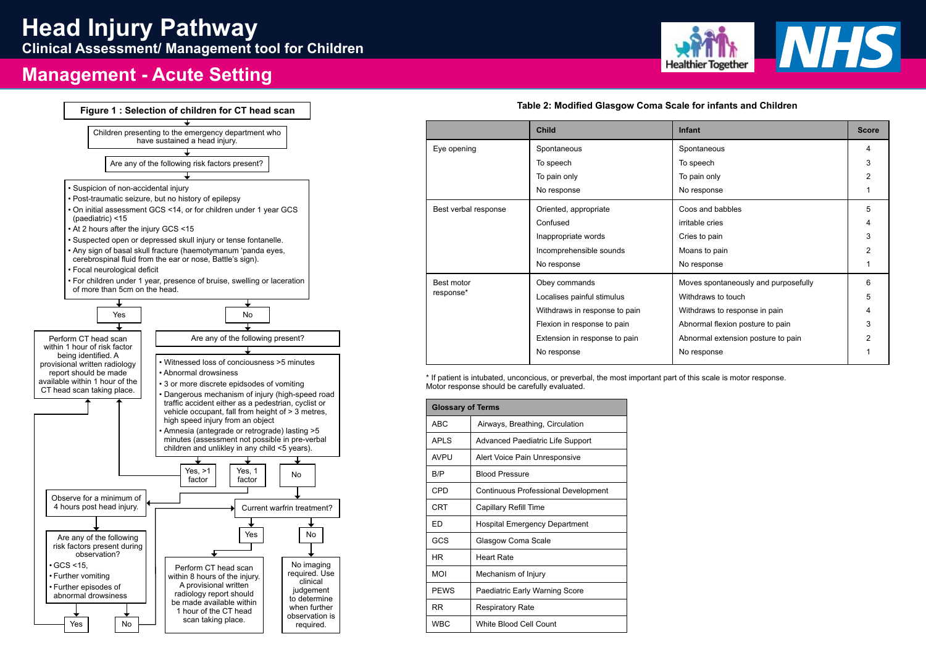# **Head Injury Pathway**

**Clinical Assessment/ Management tool for Children**

# **Management - Acute Setting**

|                      | <b>Child</b>                  | <b>Infant</b>                        | <b>Score</b>  |
|----------------------|-------------------------------|--------------------------------------|---------------|
| Eye opening          | Spontaneous                   | Spontaneous                          | 4             |
|                      | To speech                     | To speech                            | 3             |
|                      | To pain only                  | To pain only                         | 2             |
|                      | No response                   | No response                          |               |
| Best verbal response | Oriented, appropriate         | Coos and babbles                     | 5             |
|                      | Confused                      | irritable cries                      | 4             |
|                      | Inappropriate words           | Cries to pain                        | 3             |
|                      | Incomprehensible sounds       | Moans to pain                        | 2             |
|                      | No response                   | No response                          |               |
| Best motor           | Obey commands                 | Moves spontaneously and purposefully | 6             |
| response*            | Localises painful stimulus    | Withdraws to touch                   | 5             |
|                      | Withdraws in response to pain | Withdraws to response in pain        | 4             |
|                      | Flexion in response to pain   | Abnormal flexion posture to pain     | 3             |
|                      | Extension in response to pain | Abnormal extension posture to pain   | $\mathcal{P}$ |
|                      | No response                   | No response                          |               |

## **Table 2: Modified Glasgow Coma Scale for infants and Children**

\* If patient is intubated, unconcious, or preverbal, the most important part of this scale is motor response. Motor response should be carefully evaluated.





| <b>Glossary of Terms</b> |                                            |  |  |  |
|--------------------------|--------------------------------------------|--|--|--|
| ABC                      | Airways, Breathing, Circulation            |  |  |  |
| <b>APLS</b>              | Advanced Paediatric Life Support           |  |  |  |
| AVPU                     | Alert Voice Pain Unresponsive              |  |  |  |
| B/P                      | <b>Blood Pressure</b>                      |  |  |  |
| CPD                      | <b>Continuous Professional Development</b> |  |  |  |
| CRT                      | Capillary Refill Time                      |  |  |  |
| FD                       | <b>Hospital Emergency Department</b>       |  |  |  |
| GCS                      | Glasgow Coma Scale                         |  |  |  |
| ΗR                       | <b>Heart Rate</b>                          |  |  |  |
| MOI                      | Mechanism of Injury                        |  |  |  |
| <b>PEWS</b>              | Paediatric Early Warning Score             |  |  |  |
| <b>RR</b>                | <b>Respiratory Rate</b>                    |  |  |  |
| <b>WBC</b>               | White Blood Cell Count                     |  |  |  |